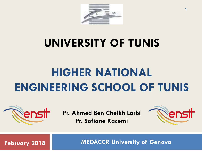

# **UNIVERSITY OF TUNIS**

# **HIGHER NATIONAL ENGINEERING SCHOOL OF TUNIS**



**Pr. Ahmed Ben Cheikh Larbi Pr. Sofiane Kacemi**



**1**

**February 2018**

**MEDACCR University of Genova**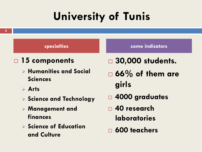# **University of Tunis**

#### □ 15 components

- Ø **Humanities and Social Sciences**
- Ø **Arts**
- Ø **Science and Technology**
- Ø **Management and finances**
- Ø **Science of Education and Culture**

#### **specialties some indicators**

- □ 30,000 students.
- ¨ **66% of them are girls**
- ¨ **4000 graduates**
- □ 40 research **laboratories**
- □ 600 teachers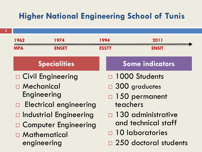**3**

| 1974<br>1962                                                                                                                                                               | 1994         | 2011                                                                                                                                                                             |
|----------------------------------------------------------------------------------------------------------------------------------------------------------------------------|--------------|----------------------------------------------------------------------------------------------------------------------------------------------------------------------------------|
| <b>MPA</b><br><b>ENSET</b>                                                                                                                                                 | <b>ESSTT</b> | <b>ENSIT</b>                                                                                                                                                                     |
| <b>Specialities</b>                                                                                                                                                        |              | Some indicators                                                                                                                                                                  |
| □ Civil Engineering<br>□ Mechanical<br>Engineering<br>□ Electrical engineering<br>□ Industrial Engineering<br>□ Computer Engineering<br>$\Box$ Mathematical<br>engineering |              | $\Box$ 1000 Students<br>$\Box$ 300 graduates<br>$\Box$ 150 permanent<br>teachers<br>$\Box$ 130 administrative<br>and technical staff<br>10 laboratories<br>250 doctoral students |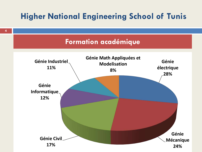

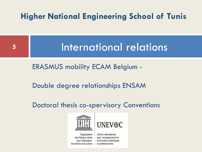

ERASMUS mobility ECAM Belgium -

Double degree relationships ENSAM

Doctoral thesis co-spervisory Conventions

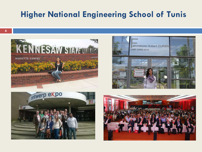







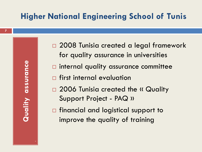$\bullet$ 

- □ 2008 Tunisia created a legal framework for quality assurance in universities
- $\Box$  internal quality assurance committee
- $\square$  first internal evaluation
- □ 2006 Tunisia created the « Quality Support Project - PAQ »
- $\square$  financial and logistical support to improve the quality of training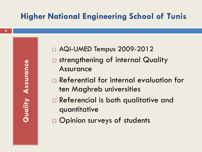- □ AQI-UMED Tempus 2009-2012
- $\square$  strengthening of internal Quality Assurance
- $\square$  Referential for internal evaluation for ten Maghreb universities
- $\square$  Referencial is both qualitative and quantitative
- $\square$  Opinion surveys of students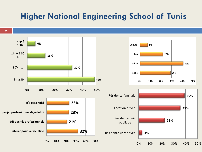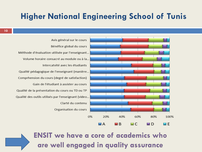Avis général sur le cours Bénéfice global du cours Méthode d'évaluation utilisée par l'enseignant... Volume horaire consacré au module ou à la... Intercatvité avec les étudiants Qualité pédagogique de l'enseignant (manière... Comprhension du cours (degré de satisfaction) Gain de l'étudiant à assister au cours Qualité de la présentation du cours ou TD ou TP Qualité des outils utilisés par l'enseignant (video... Clarté du contenu Organisation du cours



**ENSIT** we have a core of academics who are well engaged in quality assurance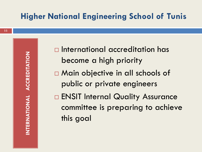$\square$  International accreditation has become a high priority □ Main objective in all schools of public or private engineers □ ENSIT Internal Quality Assurance committee is preparing to achieve this goal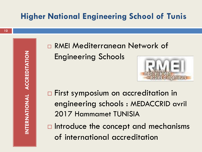**12**

n RMEI Mediterranean Network of Engineering Schools



- □ First symposium on accreditation in engineering schools : MEDACCRID avril 2017 Hammamet TUNISIA
- $\Box$  Introduce the concept and mechanisms of international accreditation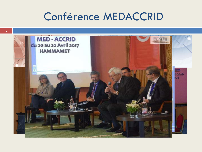## Conférence MEDACCRID

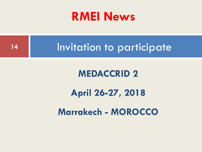# **RMEI News**



# **Marrakech - MOROCCO**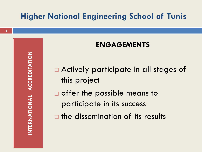#### **ENGAGEMENTS**

 $\square$  Actively participate in all stages of this project

 $\square$  offer the possible means to participate in its success

 $\square$  the dissemination of its results